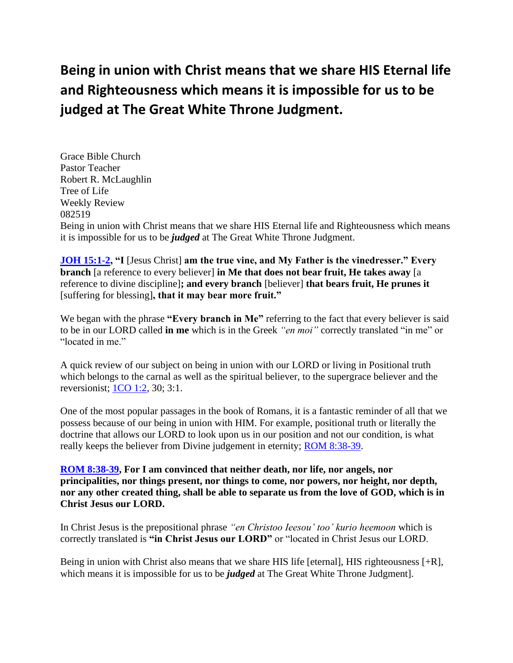# **Being in union with Christ means that we share HIS Eternal life and Righteousness which means it is impossible for us to be judged at The Great White Throne Judgment.**

Grace Bible Church Pastor Teacher Robert R. McLaughlin Tree of Life Weekly Review 082519 Being in union with Christ means that we share HIS Eternal life and Righteousness which means it is impossible for us to be *judged* at The Great White Throne Judgment.

**[JOH 15:1-2,](https://www.bibleserver.com/text/NIV/John15%3A1-2) "I** [Jesus Christ] **am the true vine, and My Father is the vinedresser." Every branch** [a reference to every believer] **in Me that does not bear fruit, He takes away** [a reference to divine discipline]**; and every branch** [believer] **that bears fruit, He prunes it**  [suffering for blessing]**, that it may bear more fruit."**

We began with the phrase **"Every branch in Me"** referring to the fact that every believer is said to be in our LORD called **in me** which is in the Greek *"en moi"* correctly translated "in me" or "located in me."

A quick review of our subject on being in union with our LORD or living in Positional truth which belongs to the carnal as well as the spiritual believer, to the supergrace believer and the reversionist; [1CO 1:2,](https://www.bibleserver.com/text/NIV/1Corinthians1%3A2) 30; 3:1.

One of the most popular passages in the book of Romans, it is a fantastic reminder of all that we possess because of our being in union with HIM. For example, positional truth or literally the doctrine that allows our LORD to look upon us in our position and not our condition, is what really keeps the believer from Divine judgement in eternity; ROM [8:38-39.](https://www.bibleserver.com/text/NIV/Romans8%3A38-39)

**[ROM 8:38-39,](https://www.bibleserver.com/text/NIV/Romans8%3A38-39) For I am convinced that neither death, nor life, nor angels, nor principalities, nor things present, nor things to come, nor powers, nor height, nor depth, nor any other created thing, shall be able to separate us from the love of GOD, which is in Christ Jesus our LORD.**

In Christ Jesus is the prepositional phrase *"en Christoo Ieesou' too' kurio heemoon* which is correctly translated is **"in Christ Jesus our LORD"** or "located in Christ Jesus our LORD.

Being in union with Christ also means that we share HIS life [eternal], HIS righteousness [+R], which means it is impossible for us to be *judged* at The Great White Throne Judgment].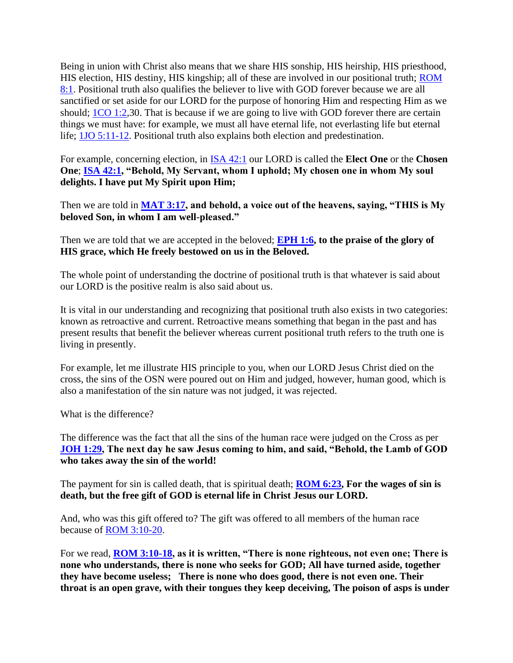Being in union with Christ also means that we share HIS sonship, HIS heirship, HIS priesthood, HIS election, HIS destiny, HIS kingship; all of these are involved in our positional truth; [ROM](https://www.bibleserver.com/text/NIV/Romans8%3A1)  [8:1.](https://www.bibleserver.com/text/NIV/Romans8%3A1) Positional truth also qualifies the believer to live with GOD forever because we are all sanctified or set aside for our LORD for the purpose of honoring Him and respecting Him as we should; [1CO 1:2,](https://www.bibleserver.com/text/NIV/1Corinthians1%3A2)30. That is because if we are going to live with GOD forever there are certain things we must have: for example, we must all have eternal life, not everlasting life but eternal life; [1JO 5:11-12.](https://www.bibleserver.com/text/NIV/1John5%3A11-12) Positional truth also explains both election and predestination.

For example, concerning election, in [ISA 42:1](https://www.bibleserver.com/text/NIV/Isaiah42%3A1) our LORD is called the **Elect One** or the **Chosen One**; **[ISA 42:1,](https://www.bibleserver.com/text/NIV/Isaiah42%3A1) "Behold, My Servant, whom I uphold; My chosen one in whom My soul delights. I have put My Spirit upon Him;**

Then we are told in **[MAT 3:17,](https://www.bibleserver.com/text/NIV/Matthew3%3A17) and behold, a voice out of the heavens, saying, "THIS is My beloved Son, in whom I am well-pleased."**

Then we are told that we are accepted in the beloved; **[EPH 1:6,](https://www.bibleserver.com/text/NIV/Ephesians1%3A6) to the praise of the glory of HIS grace, which He freely bestowed on us in the Beloved.**

The whole point of understanding the doctrine of positional truth is that whatever is said about our LORD is the positive realm is also said about us.

It is vital in our understanding and recognizing that positional truth also exists in two categories: known as retroactive and current. Retroactive means something that began in the past and has present results that benefit the believer whereas current positional truth refers to the truth one is living in presently.

For example, let me illustrate HIS principle to you, when our LORD Jesus Christ died on the cross, the sins of the OSN were poured out on Him and judged, however, human good, which is also a manifestation of the sin nature was not judged, it was rejected.

What is the difference?

The difference was the fact that all the sins of the human race were judged on the Cross as per **[JOH 1:29,](https://www.bibleserver.com/text/NIV/John1%3A29) The next day he saw Jesus coming to him, and said, "Behold, the Lamb of GOD who takes away the sin of the world!**

The payment for sin is called death, that is spiritual death; **[ROM 6:23,](https://www.bibleserver.com/text/NIV/Romans6%3A23) For the wages of sin is death, but the free gift of GOD is eternal life in Christ Jesus our LORD.**

And, who was this gift offered to? The gift was offered to all members of the human race because of [ROM 3:10-20.](https://www.bibleserver.com/text/NIV/Romans3%3A10-20)

For we read, **[ROM 3:10-18,](https://www.bibleserver.com/text/NIV/Romans3%3A10-18) as it is written, "There is none righteous, not even one; There is none who understands, there is none who seeks for GOD; All have turned aside, together they have become useless; There is none who does good, there is not even one. Their throat is an open grave, with their tongues they keep deceiving, The poison of asps is under**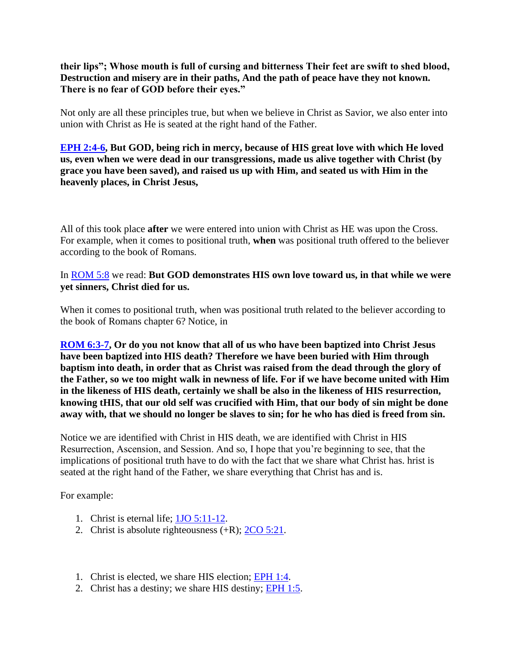## **their lips"; Whose mouth is full of cursing and bitterness Their feet are swift to shed blood, Destruction and misery are in their paths, And the path of peace have they not known. There is no fear of GOD before their eyes."**

Not only are all these principles true, but when we believe in Christ as Savior, we also enter into union with Christ as He is seated at the right hand of the Father.

**[EPH 2:4-6,](https://www.bibleserver.com/text/NIV/Ephesians2%3A4-6) But GOD, being rich in mercy, because of HIS great love with which He loved us, even when we were dead in our transgressions, made us alive together with Christ (by grace you have been saved), and raised us up with Him, and seated us with Him in the heavenly places, in Christ Jesus,**

All of this took place **after** we were entered into union with Christ as HE was upon the Cross. For example, when it comes to positional truth, **when** was positional truth offered to the believer according to the book of Romans.

#### In [ROM 5:8](https://www.bibleserver.com/text/NIV/Romans5%3A8) we read: **But GOD demonstrates HIS own love toward us, in that while we were yet sinners, Christ died for us.**

When it comes to positional truth, when was positional truth related to the believer according to the book of Romans chapter 6? Notice, in

**[ROM 6:3-7,](https://www.bibleserver.com/text/NIV/Romans6%3A3-7) Or do you not know that all of us who have been baptized into Christ Jesus have been baptized into HIS death? Therefore we have been buried with Him through baptism into death, in order that as Christ was raised from the dead through the glory of the Father, so we too might walk in newness of life. For if we have become united with Him in the likeness of HIS death, certainly we shall be also in the likeness of HIS resurrection, knowing tHIS, that our old self was crucified with Him, that our body of sin might be done away with, that we should no longer be slaves to sin; for he who has died is freed from sin.**

Notice we are identified with Christ in HIS death, we are identified with Christ in HIS Resurrection, Ascension, and Session. And so, I hope that you're beginning to see, that the implications of positional truth have to do with the fact that we share what Christ has. hrist is seated at the right hand of the Father, we share everything that Christ has and is.

For example:

- 1. Christ is eternal life; [1JO 5:11-12.](https://www.bibleserver.com/text/NIV/1John5%3A11-12)
- 2. Christ is absolute righteousness  $(+R)$ ;  $2CO$  5:21.
- 1. Christ is elected, we share HIS election; [EPH 1:4.](https://www.bibleserver.com/text/NIV/Ephesians1%3A4)
- 2. Christ has a destiny; we share HIS destiny; [EPH 1:5.](https://www.bibleserver.com/text/NIV/Ephesians1%3A5)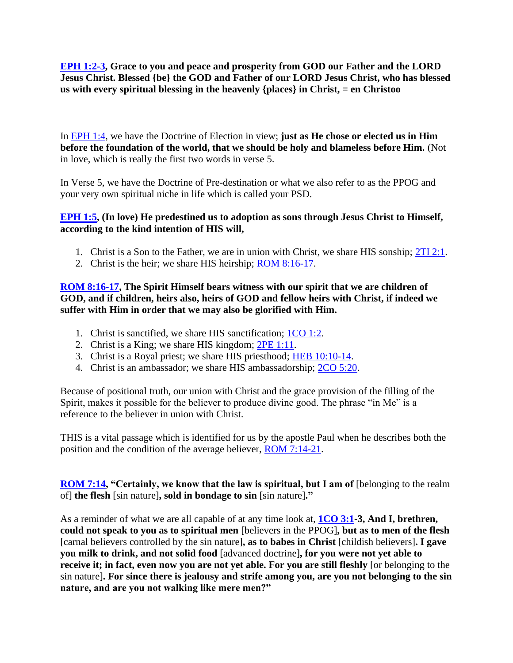**[EPH 1:2-3,](https://www.bibleserver.com/text/NIV/Ephesians1%3A2-3) Grace to you and peace and prosperity from GOD our Father and the LORD Jesus Christ. Blessed {be} the GOD and Father of our LORD Jesus Christ, who has blessed us with every spiritual blessing in the heavenly {places} in Christ, = en Christoo**

In [EPH 1:4,](https://www.bibleserver.com/text/NIV/Ephesians1%3A4) we have the Doctrine of Election in view; **just as He chose or elected us in Him before the foundation of the world, that we should be holy and blameless before Him.** (Not in love, which is really the first two words in verse 5.

In Verse 5, we have the Doctrine of Pre-destination or what we also refer to as the PPOG and your very own spiritual niche in life which is called your PSD.

## **[EPH 1:5,](https://www.bibleserver.com/text/NIV/Ephesians1%3A5) (In love) He predestined us to adoption as sons through Jesus Christ to Himself, according to the kind intention of HIS will,**

- 1. Christ is a Son to the Father, we are in union with Christ, we share HIS sonship; [2TI 2:1.](https://www.bibleserver.com/text/NIV/2Timothy2%3A1)
- 2. Christ is the heir; we share HIS heirship; **ROM 8:16-17.**

**[ROM 8:16-17,](https://www.bibleserver.com/text/NIV/Romans8%3A16-17) The Spirit Himself bears witness with our spirit that we are children of GOD, and if children, heirs also, heirs of GOD and fellow heirs with Christ, if indeed we suffer with Him in order that we may also be glorified with Him.**

- 1. Christ is sanctified, we share HIS sanctification; [1CO 1:2.](https://www.bibleserver.com/text/NIV/1Corinthians1%3A2)
- 2. Christ is a King; we share HIS kingdom; [2PE 1:11.](https://www.bibleserver.com/text/NIV/2Peter1%3A11)
- 3. Christ is a Royal priest; we share HIS priesthood; [HEB 10:10-14.](https://www.bibleserver.com/text/NIV/Hebrews10%3A10-14)
- 4. Christ is an ambassador; we share HIS ambassadorship; [2CO 5:20.](https://www.bibleserver.com/text/NIV/2Corinthians5%3A20)

Because of positional truth, our union with Christ and the grace provision of the filling of the Spirit, makes it possible for the believer to produce divine good. The phrase "in Me" is a reference to the believer in union with Christ.

THIS is a vital passage which is identified for us by the apostle Paul when he describes both the position and the condition of the average believer, [ROM 7:14-21.](https://www.bibleserver.com/text/NIV/Romans7%3A14-21)

**[ROM 7:14,](https://www.bibleserver.com/text/NIV/Romans7%3A14) "Certainly, we know that the law is spiritual, but I am of [belonging to the realm** of] **the flesh** [sin nature]**, sold in bondage to sin** [sin nature]**."**

As a reminder of what we are all capable of at any time look at, **[1CO 3:1-](https://www.bibleserver.com/text/NIV/1Corinthians3%3A1)3, And I, brethren, could not speak to you as to spiritual men** [believers in the PPOG]**, but as to men of the flesh**  [carnal believers controlled by the sin nature]**, as to babes in Christ** [childish believers]**. I gave you milk to drink, and not solid food** [advanced doctrine]**, for you were not yet able to receive it; in fact, even now you are not yet able. For you are still fleshly** [or belonging to the sin nature]**. For since there is jealousy and strife among you, are you not belonging to the sin nature, and are you not walking like mere men?"**